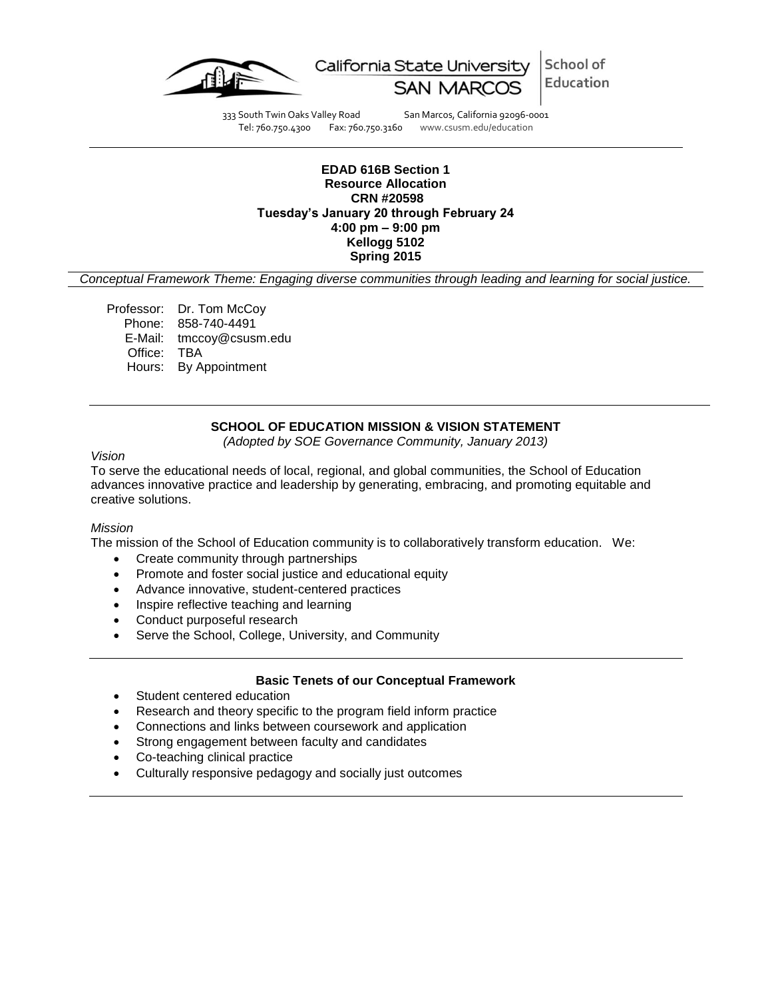

School of California State University Education **SAN MARCOS** 

333 South Twin Oaks Valley Road San Marcos, California 92096-0001<br>Tel: 760.750.4300 Fax: 760.750.3160 www.csusm.edu/education www.csusm.edu/education

## **EDAD 616B Section 1 Resource Allocation CRN #20598 Tuesday's January 20 through February 24 4:00 pm – 9:00 pm Kellogg 5102 Spring 2015**

*Conceptual Framework Theme: Engaging diverse communities through leading and learning for social justice.*

Professor: Dr. Tom McCoy Phone: 858-740-4491 E-Mail: tmccoy@csusm.edu Office: TBA Hours: By Appointment

# **SCHOOL OF EDUCATION MISSION & VISION STATEMENT**

*(Adopted by SOE Governance Community, January 2013)*

*Vision*

To serve the educational needs of local, regional, and global communities, the School of Education advances innovative practice and leadership by generating, embracing, and promoting equitable and creative solutions.

## *Mission*

The mission of the School of Education community is to collaboratively transform education. We:

- Create community through partnerships
- Promote and foster social justice and educational equity
- Advance innovative, student-centered practices
- Inspire reflective teaching and learning
- Conduct purposeful research
- Serve the School, College, University, and Community

## **Basic Tenets of our Conceptual Framework**

- Student centered education
- Research and theory specific to the program field inform practice
- Connections and links between coursework and application
- Strong engagement between faculty and candidates
- Co-teaching clinical practice
- Culturally responsive pedagogy and socially just outcomes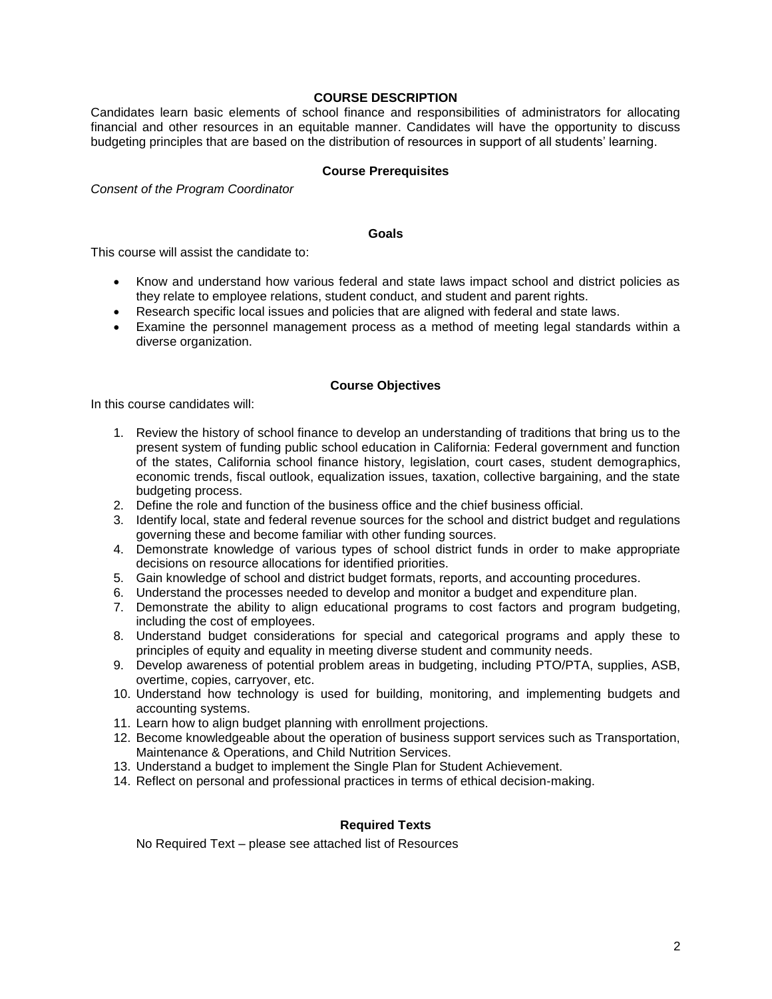## **COURSE DESCRIPTION**

Candidates learn basic elements of school finance and responsibilities of administrators for allocating financial and other resources in an equitable manner. Candidates will have the opportunity to discuss budgeting principles that are based on the distribution of resources in support of all students' learning.

## **Course Prerequisites**

*Consent of the Program Coordinator*

### **Goals**

This course will assist the candidate to:

- Know and understand how various federal and state laws impact school and district policies as they relate to employee relations, student conduct, and student and parent rights.
- Research specific local issues and policies that are aligned with federal and state laws.
- Examine the personnel management process as a method of meeting legal standards within a diverse organization.

## **Course Objectives**

In this course candidates will:

- 1. Review the history of school finance to develop an understanding of traditions that bring us to the present system of funding public school education in California: Federal government and function of the states, California school finance history, legislation, court cases, student demographics, economic trends, fiscal outlook, equalization issues, taxation, collective bargaining, and the state budgeting process.
- 2. Define the role and function of the business office and the chief business official.
- 3. Identify local, state and federal revenue sources for the school and district budget and regulations governing these and become familiar with other funding sources.
- 4. Demonstrate knowledge of various types of school district funds in order to make appropriate decisions on resource allocations for identified priorities.
- 5. Gain knowledge of school and district budget formats, reports, and accounting procedures.
- 6. Understand the processes needed to develop and monitor a budget and expenditure plan.
- 7. Demonstrate the ability to align educational programs to cost factors and program budgeting, including the cost of employees.
- 8. Understand budget considerations for special and categorical programs and apply these to principles of equity and equality in meeting diverse student and community needs.
- 9. Develop awareness of potential problem areas in budgeting, including PTO/PTA, supplies, ASB, overtime, copies, carryover, etc.
- 10. Understand how technology is used for building, monitoring, and implementing budgets and accounting systems.
- 11. Learn how to align budget planning with enrollment projections.
- 12. Become knowledgeable about the operation of business support services such as Transportation, Maintenance & Operations, and Child Nutrition Services.
- 13. Understand a budget to implement the Single Plan for Student Achievement.
- 14. Reflect on personal and professional practices in terms of ethical decision-making.

# **Required Texts**

No Required Text – please see attached list of Resources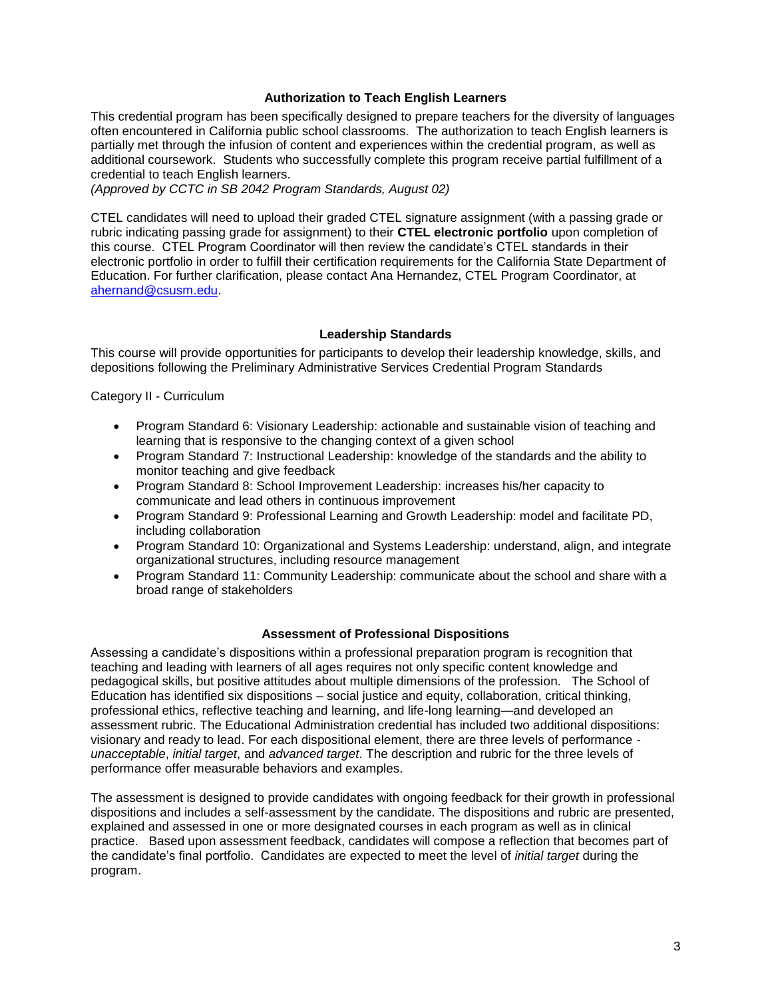## **Authorization to Teach English Learners**

This credential program has been specifically designed to prepare teachers for the diversity of languages often encountered in California public school classrooms. The authorization to teach English learners is partially met through the infusion of content and experiences within the credential program, as well as additional coursework. Students who successfully complete this program receive partial fulfillment of a credential to teach English learners.

*(Approved by CCTC in SB 2042 Program Standards, August 02)*

CTEL candidates will need to upload their graded CTEL signature assignment (with a passing grade or rubric indicating passing grade for assignment) to their **CTEL electronic portfolio** upon completion of this course. CTEL Program Coordinator will then review the candidate's CTEL standards in their electronic portfolio in order to fulfill their certification requirements for the California State Department of Education. For further clarification, please contact Ana Hernandez, CTEL Program Coordinator, at [ahernand@csusm.edu.](https://bl2prd0511.outlook.com/owa/redir.aspx?C=AW7hZ-DBL0G6FPgB8G8Eri3bAwuccNAIwYI81VgsrzvmHC5AEo6nGJNyvZWC7aqWfxtUgiTx_9k.&URL=mailto%3aahernand%40csusm.edu)

## **Leadership Standards**

This course will provide opportunities for participants to develop their leadership knowledge, skills, and depositions following the Preliminary Administrative Services Credential Program Standards

Category II - Curriculum

- Program Standard 6: Visionary Leadership: actionable and sustainable vision of teaching and learning that is responsive to the changing context of a given school
- Program Standard 7: Instructional Leadership: knowledge of the standards and the ability to monitor teaching and give feedback
- Program Standard 8: School Improvement Leadership: increases his/her capacity to communicate and lead others in continuous improvement
- Program Standard 9: Professional Learning and Growth Leadership: model and facilitate PD, including collaboration
- Program Standard 10: Organizational and Systems Leadership: understand, align, and integrate organizational structures, including resource management
- Program Standard 11: Community Leadership: communicate about the school and share with a broad range of stakeholders

## **Assessment of Professional Dispositions**

Assessing a candidate's dispositions within a professional preparation program is recognition that teaching and leading with learners of all ages requires not only specific content knowledge and pedagogical skills, but positive attitudes about multiple dimensions of the profession. The School of Education has identified six dispositions – social justice and equity, collaboration, critical thinking, professional ethics, reflective teaching and learning, and life-long learning—and developed an assessment rubric. The Educational Administration credential has included two additional dispositions: visionary and ready to lead. For each dispositional element, there are three levels of performance *unacceptable*, *initial target*, and *advanced target*. The description and rubric for the three levels of performance offer measurable behaviors and examples.

The assessment is designed to provide candidates with ongoing feedback for their growth in professional dispositions and includes a self-assessment by the candidate. The dispositions and rubric are presented, explained and assessed in one or more designated courses in each program as well as in clinical practice. Based upon assessment feedback, candidates will compose a reflection that becomes part of the candidate's final portfolio. Candidates are expected to meet the level of *initial target* during the program.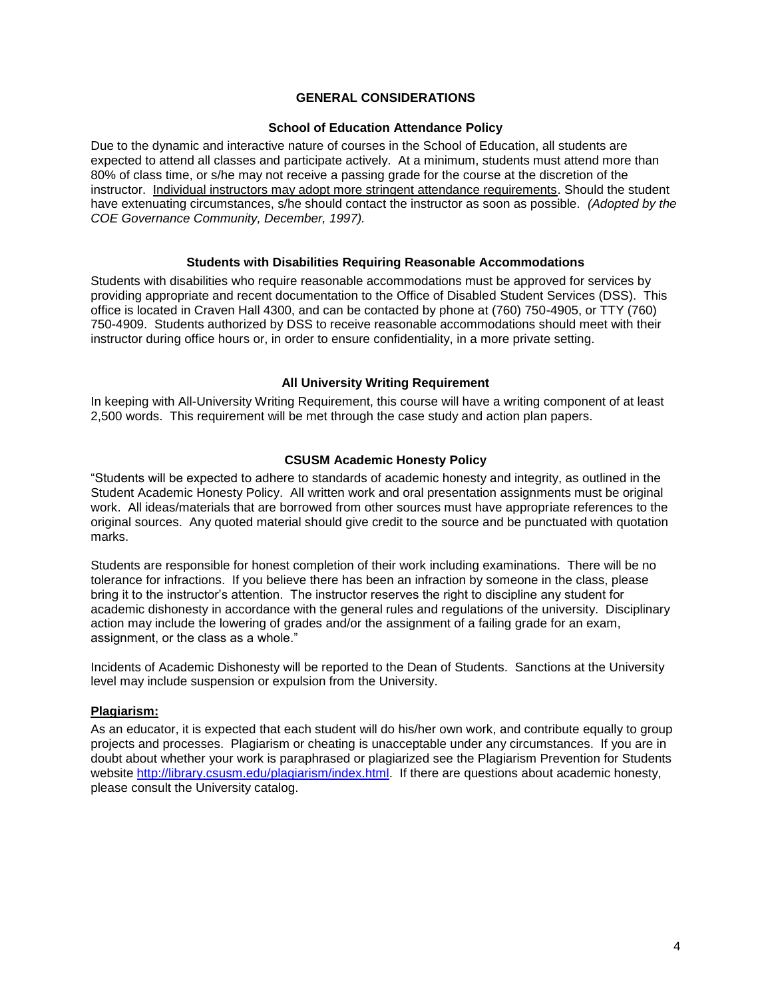# **GENERAL CONSIDERATIONS**

## **School of Education Attendance Policy**

Due to the dynamic and interactive nature of courses in the School of Education, all students are expected to attend all classes and participate actively. At a minimum, students must attend more than 80% of class time, or s/he may not receive a passing grade for the course at the discretion of the instructor. Individual instructors may adopt more stringent attendance requirements. Should the student have extenuating circumstances, s/he should contact the instructor as soon as possible. *(Adopted by the COE Governance Community, December, 1997).*

## **Students with Disabilities Requiring Reasonable Accommodations**

Students with disabilities who require reasonable accommodations must be approved for services by providing appropriate and recent documentation to the Office of Disabled Student Services (DSS). This office is located in Craven Hall 4300, and can be contacted by phone at (760) 750-4905, or TTY (760) 750-4909. Students authorized by DSS to receive reasonable accommodations should meet with their instructor during office hours or, in order to ensure confidentiality, in a more private setting.

## **All University Writing Requirement**

In keeping with All-University Writing Requirement, this course will have a writing component of at least 2,500 words. This requirement will be met through the case study and action plan papers.

## **CSUSM Academic Honesty Policy**

"Students will be expected to adhere to standards of academic honesty and integrity, as outlined in the Student Academic Honesty Policy. All written work and oral presentation assignments must be original work. All ideas/materials that are borrowed from other sources must have appropriate references to the original sources. Any quoted material should give credit to the source and be punctuated with quotation marks.

Students are responsible for honest completion of their work including examinations. There will be no tolerance for infractions. If you believe there has been an infraction by someone in the class, please bring it to the instructor's attention. The instructor reserves the right to discipline any student for academic dishonesty in accordance with the general rules and regulations of the university. Disciplinary action may include the lowering of grades and/or the assignment of a failing grade for an exam, assignment, or the class as a whole."

Incidents of Academic Dishonesty will be reported to the Dean of Students. Sanctions at the University level may include suspension or expulsion from the University.

## **Plagiarism:**

As an educator, it is expected that each student will do his/her own work, and contribute equally to group projects and processes. Plagiarism or cheating is unacceptable under any circumstances. If you are in doubt about whether your work is paraphrased or plagiarized see the Plagiarism Prevention for Students website [http://library.csusm.edu/plagiarism/index.html.](http://library.csusm.edu/plagiarism/index.html) If there are questions about academic honesty, please consult the University catalog.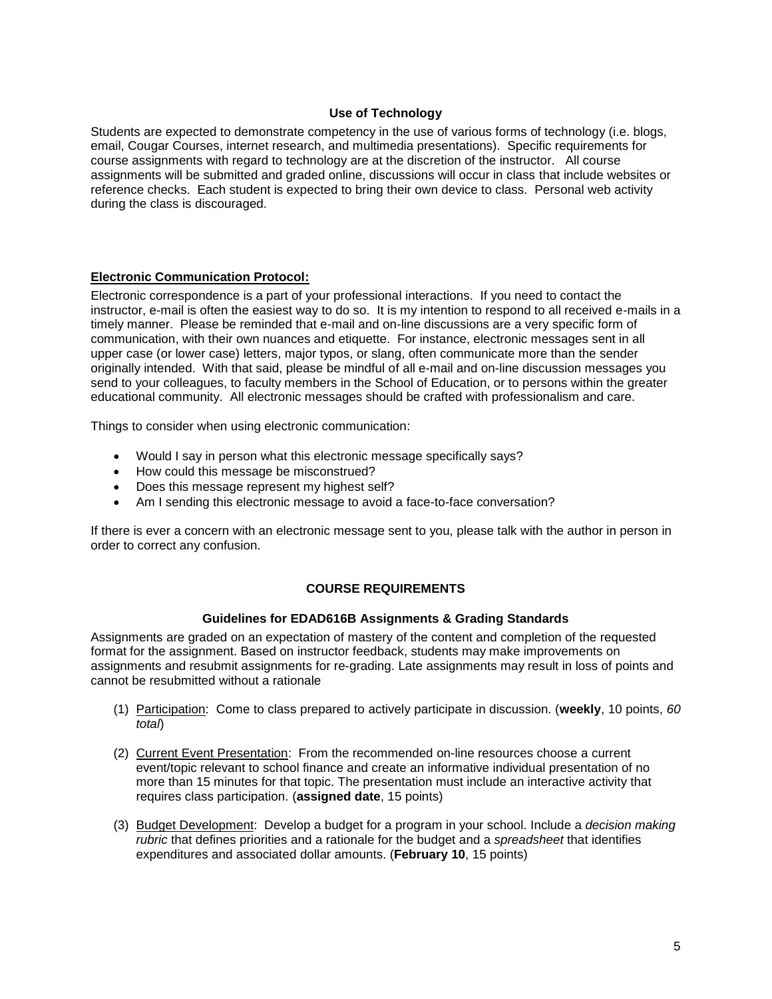## **Use of Technology**

Students are expected to demonstrate competency in the use of various forms of technology (i.e. blogs, email, Cougar Courses, internet research, and multimedia presentations). Specific requirements for course assignments with regard to technology are at the discretion of the instructor. All course assignments will be submitted and graded online, discussions will occur in class that include websites or reference checks. Each student is expected to bring their own device to class. Personal web activity during the class is discouraged.

## **Electronic Communication Protocol:**

Electronic correspondence is a part of your professional interactions. If you need to contact the instructor, e-mail is often the easiest way to do so. It is my intention to respond to all received e-mails in a timely manner. Please be reminded that e-mail and on-line discussions are a very specific form of communication, with their own nuances and etiquette. For instance, electronic messages sent in all upper case (or lower case) letters, major typos, or slang, often communicate more than the sender originally intended. With that said, please be mindful of all e-mail and on-line discussion messages you send to your colleagues, to faculty members in the School of Education, or to persons within the greater educational community. All electronic messages should be crafted with professionalism and care.

Things to consider when using electronic communication:

- Would I say in person what this electronic message specifically says?
- How could this message be misconstrued?
- Does this message represent my highest self?
- Am I sending this electronic message to avoid a face-to-face conversation?

If there is ever a concern with an electronic message sent to you, please talk with the author in person in order to correct any confusion.

# **COURSE REQUIREMENTS**

## **Guidelines for EDAD616B Assignments & Grading Standards**

Assignments are graded on an expectation of mastery of the content and completion of the requested format for the assignment. Based on instructor feedback, students may make improvements on assignments and resubmit assignments for re-grading. Late assignments may result in loss of points and cannot be resubmitted without a rationale

- (1) Participation: Come to class prepared to actively participate in discussion. (**weekly**, 10 points, *60 total*)
- (2) Current Event Presentation: From the recommended on-line resources choose a current event/topic relevant to school finance and create an informative individual presentation of no more than 15 minutes for that topic. The presentation must include an interactive activity that requires class participation. (**assigned date**, 15 points)
- (3) Budget Development: Develop a budget for a program in your school. Include a *decision making rubric* that defines priorities and a rationale for the budget and a *spreadsheet* that identifies expenditures and associated dollar amounts. (**February 10**, 15 points)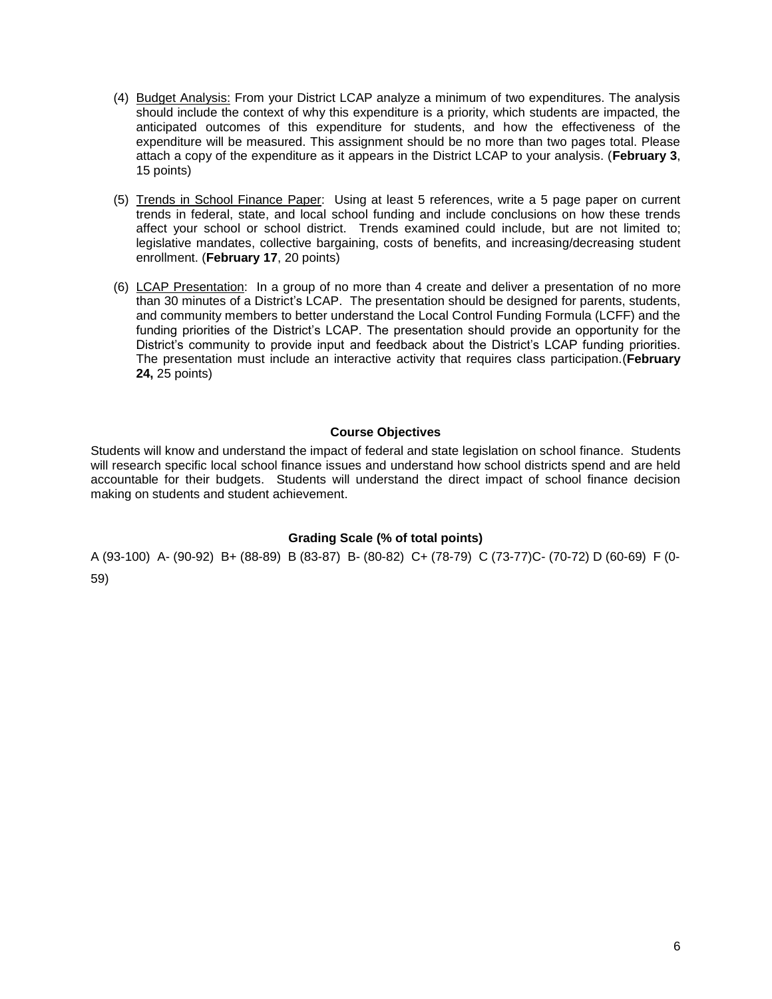- (4) Budget Analysis: From your District LCAP analyze a minimum of two expenditures. The analysis should include the context of why this expenditure is a priority, which students are impacted, the anticipated outcomes of this expenditure for students, and how the effectiveness of the expenditure will be measured. This assignment should be no more than two pages total. Please attach a copy of the expenditure as it appears in the District LCAP to your analysis. (**February 3**, 15 points)
- (5) Trends in School Finance Paper: Using at least 5 references, write a 5 page paper on current trends in federal, state, and local school funding and include conclusions on how these trends affect your school or school district. Trends examined could include, but are not limited to; legislative mandates, collective bargaining, costs of benefits, and increasing/decreasing student enrollment. (**February 17**, 20 points)
- (6) LCAP Presentation: In a group of no more than 4 create and deliver a presentation of no more than 30 minutes of a District's LCAP. The presentation should be designed for parents, students, and community members to better understand the Local Control Funding Formula (LCFF) and the funding priorities of the District's LCAP. The presentation should provide an opportunity for the District's community to provide input and feedback about the District's LCAP funding priorities. The presentation must include an interactive activity that requires class participation.(**February 24,** 25 points)

## **Course Objectives**

Students will know and understand the impact of federal and state legislation on school finance. Students will research specific local school finance issues and understand how school districts spend and are held accountable for their budgets. Students will understand the direct impact of school finance decision making on students and student achievement.

## **Grading Scale (% of total points)**

A (93-100) A- (90-92) B+ (88-89) B (83-87) B- (80-82) C+ (78-79) C (73-77)C- (70-72) D (60-69) F (0- 59)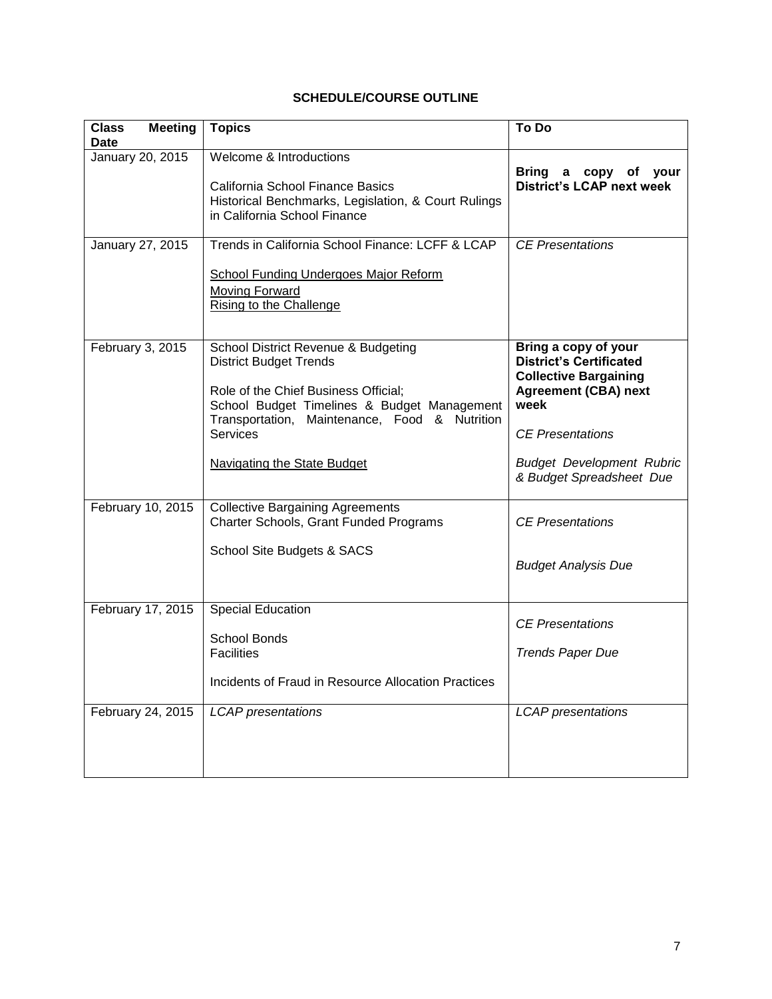# **SCHEDULE/COURSE OUTLINE**

| <b>Class</b><br><b>Meeting</b><br><b>Date</b> | <b>Topics</b>                                                                                                                                                                                                                                                         | To Do                                                                                                                                                                                        |
|-----------------------------------------------|-----------------------------------------------------------------------------------------------------------------------------------------------------------------------------------------------------------------------------------------------------------------------|----------------------------------------------------------------------------------------------------------------------------------------------------------------------------------------------|
| January 20, 2015                              | <b>Welcome &amp; Introductions</b><br>California School Finance Basics<br>Historical Benchmarks, Legislation, & Court Rulings<br>in California School Finance                                                                                                         | <b>Bring</b><br>a copy of<br>your<br><b>District's LCAP next week</b>                                                                                                                        |
| January 27, 2015                              | Trends in California School Finance: LCFF & LCAP<br><b>School Funding Undergoes Major Reform</b><br>Moving Forward<br>Rising to the Challenge                                                                                                                         | <b>CE Presentations</b>                                                                                                                                                                      |
| February 3, 2015                              | School District Revenue & Budgeting<br><b>District Budget Trends</b><br>Role of the Chief Business Official;<br>School Budget Timelines & Budget Management<br>Transportation, Maintenance, Food & Nutrition<br><b>Services</b><br><b>Navigating the State Budget</b> | Bring a copy of your<br><b>District's Certificated</b><br><b>Collective Bargaining</b><br><b>Agreement (CBA) next</b><br>week<br><b>CE Presentations</b><br><b>Budget Development Rubric</b> |
|                                               |                                                                                                                                                                                                                                                                       | & Budget Spreadsheet Due                                                                                                                                                                     |
| February 10, 2015                             | <b>Collective Bargaining Agreements</b><br>Charter Schools, Grant Funded Programs<br>School Site Budgets & SACS                                                                                                                                                       | <b>CE</b> Presentations<br><b>Budget Analysis Due</b>                                                                                                                                        |
| February 17, 2015                             | Special Education<br><b>School Bonds</b><br><b>Facilities</b><br>Incidents of Fraud in Resource Allocation Practices                                                                                                                                                  | <b>CE</b> Presentations<br><b>Trends Paper Due</b>                                                                                                                                           |
| February 24, 2015                             | <b>LCAP</b> presentations                                                                                                                                                                                                                                             | <b>LCAP</b> presentations                                                                                                                                                                    |